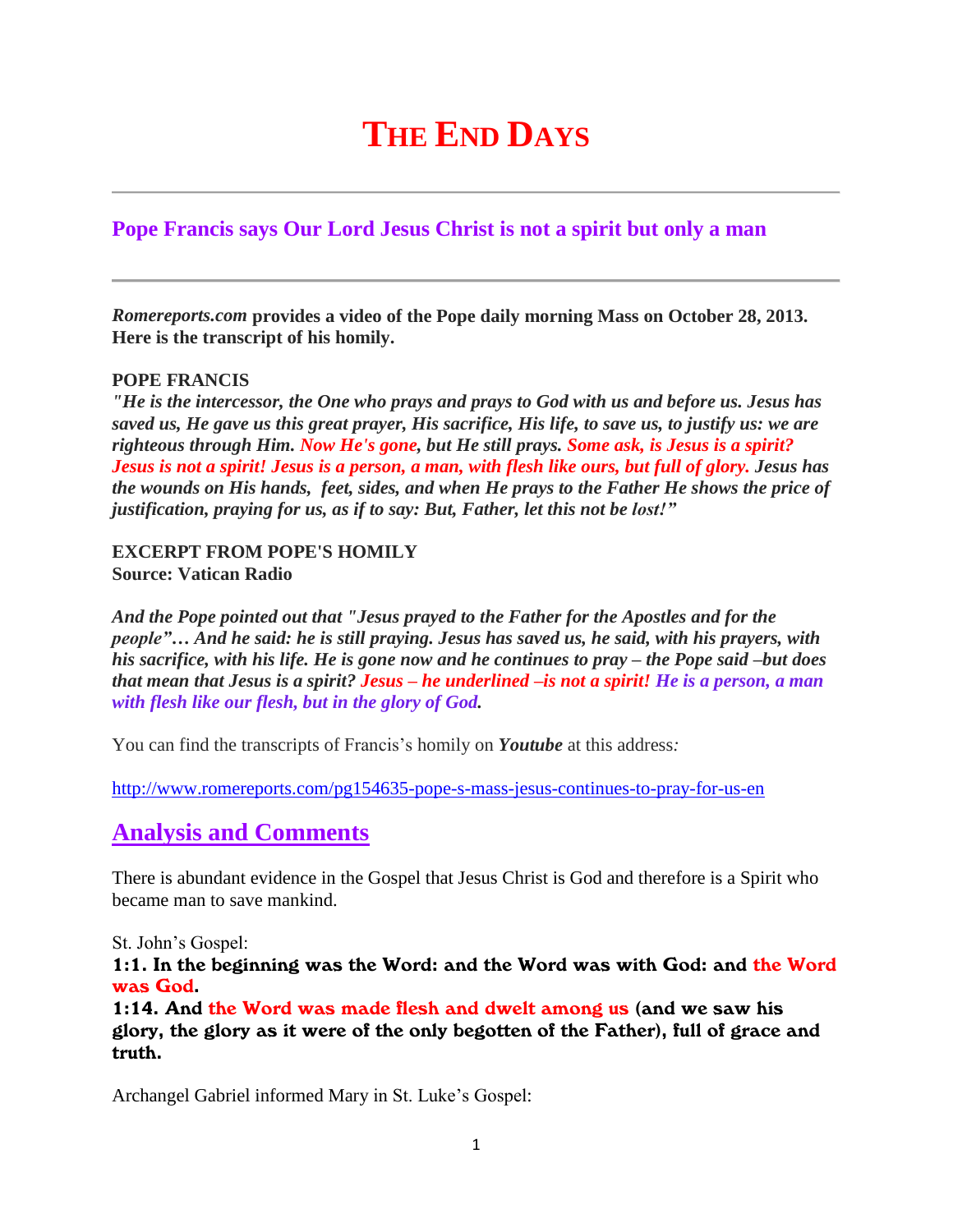# **THE END DAYS**

# **Pope Francis says Our Lord Jesus Christ is not a spirit but only a man**

*Romereports.com* **provides a video of the Pope daily morning Mass on October 28, 2013. Here is the transcript of his homily.**

## **POPE FRANCIS**

*"He is the intercessor, the One who prays and prays to God with us and before us. Jesus has* saved us, He gave us this great prayer, His sacrifice, His life, to save us, to justify us: we are *righteous through Him. Now He's gone, but He still prays. Some ask, is Jesus is a spirit?* Jesus is not a spirit! Jesus is a person, a man, with flesh like ours, but full of glory. Jesus has *the wounds on His hands, feet, sides, and when He prays to the Father He shows the price of justification, praying for us, as if to say: But, Father, let this not be lost!"*

#### **EXCERPT FROM POPE'S HOMILY Source: Vatican Radio**

*And the Pope pointed out that "Jesus prayed to the Father for the Apostles and for the people"… And he said: he is still praying. Jesus has saved us, he said, with his prayers, with* his sacrifice, with his life. He is gone now and he continues to pray – the Pope said –but does that mean that Jesus is a spirit? Jesus – he underlined – is not a spirit! He is a person, a man *with flesh like our flesh, but in the glory of God.*

You can find the transcripts of Francis's homily on *Youtube* at this address*:*

<http://www.romereports.com/pg154635-pope-s-mass-jesus-continues-to-pray-for-us-en>

# **Analysis and Comments**

There is abundant evidence in the Gospel that Jesus Christ is God and therefore is a Spirit who became man to save mankind.

St. John's Gospel:

1:1. In the beginning was the Word: and the Word was with God: and the Word was God.

1:14. And the Word was made flesh and dwelt among us (and we saw his glory, the glory as it were of the only begotten of the Father), full of grace and truth.

Archangel Gabriel informed Mary in St. Luke's Gospel: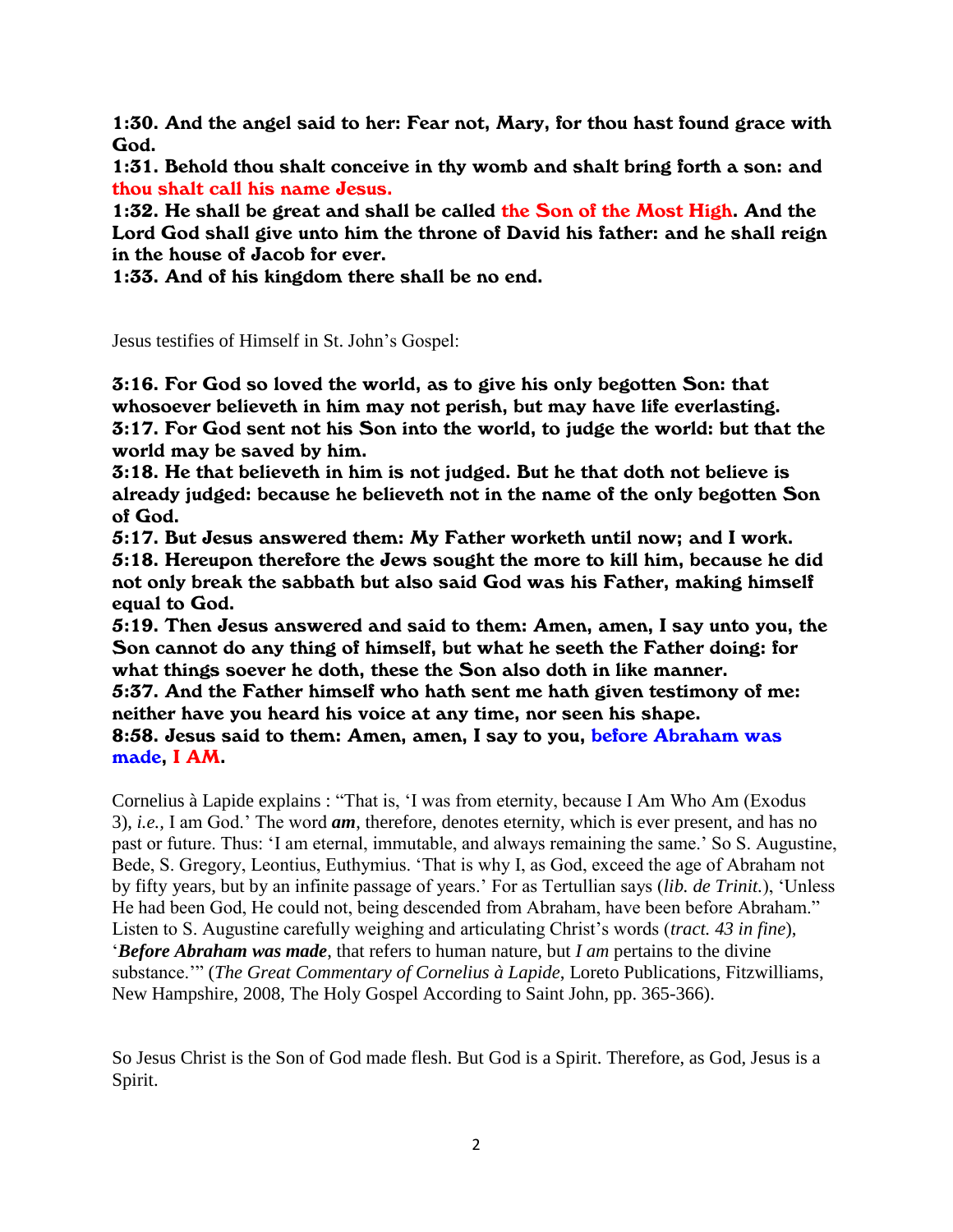1:30. And the angel said to her: Fear not, Mary, for thou hast found grace with God.

1:31. Behold thou shalt conceive in thy womb and shalt bring forth a son: and thou shalt call his name Jesus.

1:32. He shall be great and shall be called the Son of the Most High. And the Lord God shall give unto him the throne of David his father: and he shall reign in the house of Jacob for ever.

1:33. And of his kingdom there shall be no end.

Jesus testifies of Himself in St. John's Gospel:

3:16. For God so loved the world, as to give his only begotten Son: that whosoever believeth in him may not perish, but may have life everlasting. 3:17. For God sent not his Son into the world, to judge the world: but that the world may be saved by him.

3:18. He that believeth in him is not judged. But he that doth not believe is already judged: because he believeth not in the name of the only begotten Son of God.

5:17. But Jesus answered them: My Father worketh until now; and I work. 5:18. Hereupon therefore the Jews sought the more to kill him, because he did not only break the sabbath but also said God was his Father, making himself equal to God.

5:19. Then Jesus answered and said to them: Amen, amen, I say unto you, the Son cannot do any thing of himself, but what he seeth the Father doing: for what things soever he doth, these the Son also doth in like manner.

5:37. And the Father himself who hath sent me hath given testimony of me: neither have you heard his voice at any time, nor seen his shape.

8:58. Jesus said to them: Amen, amen, I say to you, before Abraham was made, I AM.

Cornelius à Lapide explains : "That is, 'I was from eternity, because I Am Who Am (Exodus 3), *i.e.,* I am God.' The word *am*, therefore, denotes eternity, which is ever present, and has no past or future. Thus: 'I am eternal, immutable, and always remaining the same.' So S. Augustine, Bede, S. Gregory, Leontius, Euthymius. 'That is why I, as God, exceed the age of Abraham not by fifty years, but by an infinite passage of years.' For as Tertullian says (*lib. de Trinit.*), 'Unless He had been God, He could not, being descended from Abraham, have been before Abraham." Listen to S. Augustine carefully weighing and articulating Christ's words (*tract. 43 in fine*), '*Before Abraham was made*, that refers to human nature, but *I am* pertains to the divine substance.'" (*The Great Commentary of Cornelius à Lapide*, Loreto Publications, Fitzwilliams, New Hampshire, 2008, The Holy Gospel According to Saint John, pp. 365-366).

So Jesus Christ is the Son of God made flesh. But God is a Spirit. Therefore, as God, Jesus is a Spirit.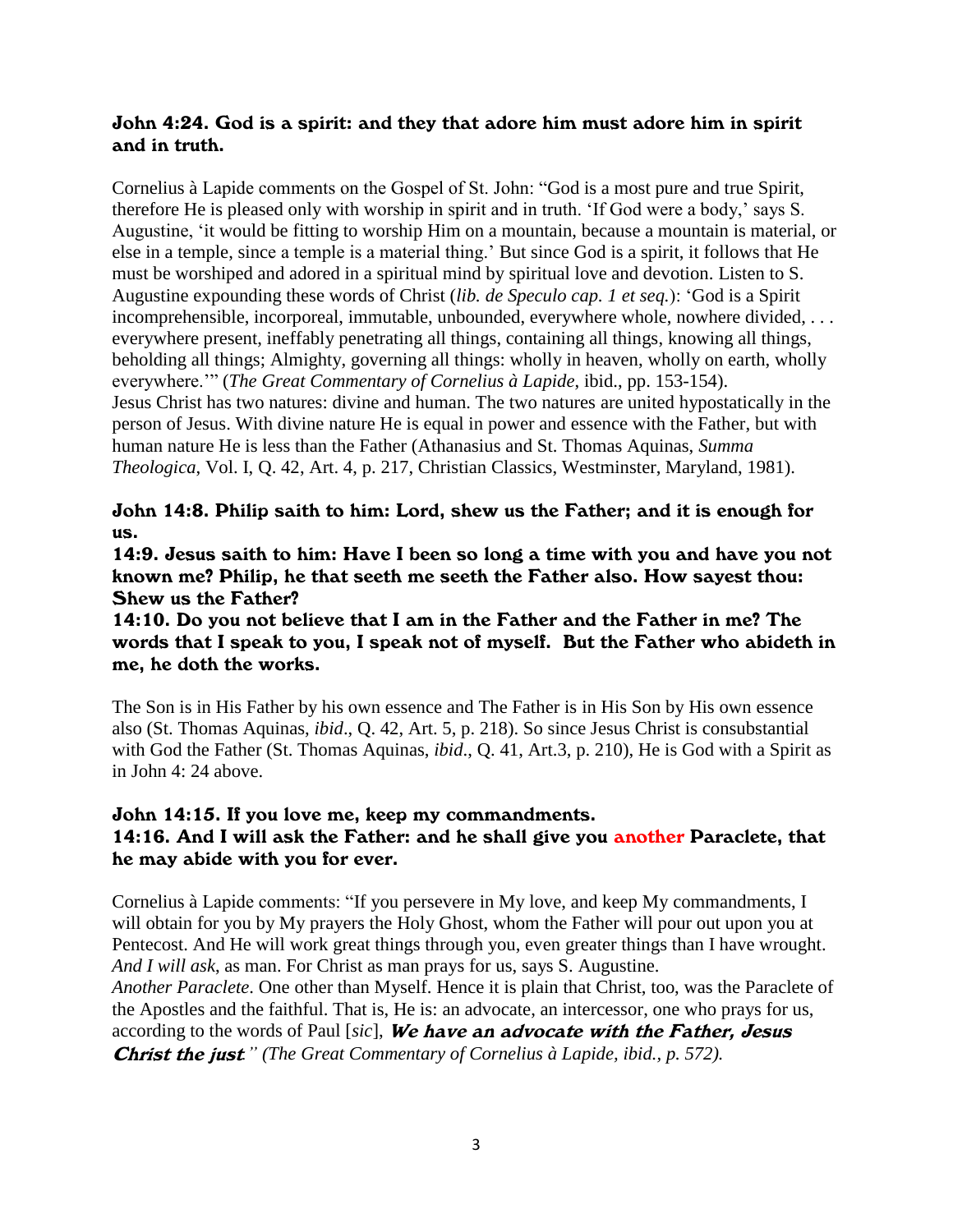# John 4:24. God is a spirit: and they that adore him must adore him in spirit and in truth.

Cornelius à Lapide comments on the Gospel of St. John: "God is a most pure and true Spirit, therefore He is pleased only with worship in spirit and in truth. 'If God were a body,' says S. Augustine, 'it would be fitting to worship Him on a mountain, because a mountain is material, or else in a temple, since a temple is a material thing.' But since God is a spirit, it follows that He must be worshiped and adored in a spiritual mind by spiritual love and devotion. Listen to S. Augustine expounding these words of Christ (*lib. de Speculo cap. 1 et seq.*): 'God is a Spirit incomprehensible, incorporeal, immutable, unbounded, everywhere whole, nowhere divided, . . . everywhere present, ineffably penetrating all things, containing all things, knowing all things, beholding all things; Almighty, governing all things: wholly in heaven, wholly on earth, wholly everywhere.'" (*The Great Commentary of Cornelius à Lapide*, ibid., pp. 153-154). Jesus Christ has two natures: divine and human. The two natures are united hypostatically in the person of Jesus. With divine nature He is equal in power and essence with the Father, but with human nature He is less than the Father (Athanasius and St. Thomas Aquinas, *Summa Theologica*, Vol. I, Q. 42, Art. 4, p. 217, Christian Classics, Westminster, Maryland, 1981).

# John 14:8. Philip saith to him: Lord, shew us the Father; and it is enough for us.

14:9. Jesus saith to him: Have I been so long a time with you and have you not known me? Philip, he that seeth me seeth the Father also. How sayest thou: Shew us the Father?

14:10. Do you not believe that I am in the Father and the Father in me? The words that I speak to you, I speak not of myself. But the Father who abideth in me, he doth the works.

The Son is in His Father by his own essence and The Father is in His Son by His own essence also (St. Thomas Aquinas, *ibid*., Q. 42, Art. 5, p. 218). So since Jesus Christ is consubstantial with God the Father (St. Thomas Aquinas, *ibid*., Q. 41, Art.3, p. 210), He is God with a Spirit as in John 4: 24 above.

# John 14:15. If you love me, keep my commandments. 14:16. And I will ask the Father: and he shall give you another Paraclete, that he may abide with you for ever.

Cornelius à Lapide comments: "If you persevere in My love, and keep My commandments, I will obtain for you by My prayers the Holy Ghost, whom the Father will pour out upon you at Pentecost. And He will work great things through you, even greater things than I have wrought. *And I will ask*, as man. For Christ as man prays for us, says S. Augustine.

*Another Paraclete*. One other than Myself. Hence it is plain that Christ, too, was the Paraclete of the Apostles and the faithful. That is, He is: an advocate, an intercessor, one who prays for us, according to the words of Paul [*sic*], We have an advocate with the Father, Jesus Christ the just*." (The Great Commentary of Cornelius à Lapide, ibid., p. 572).*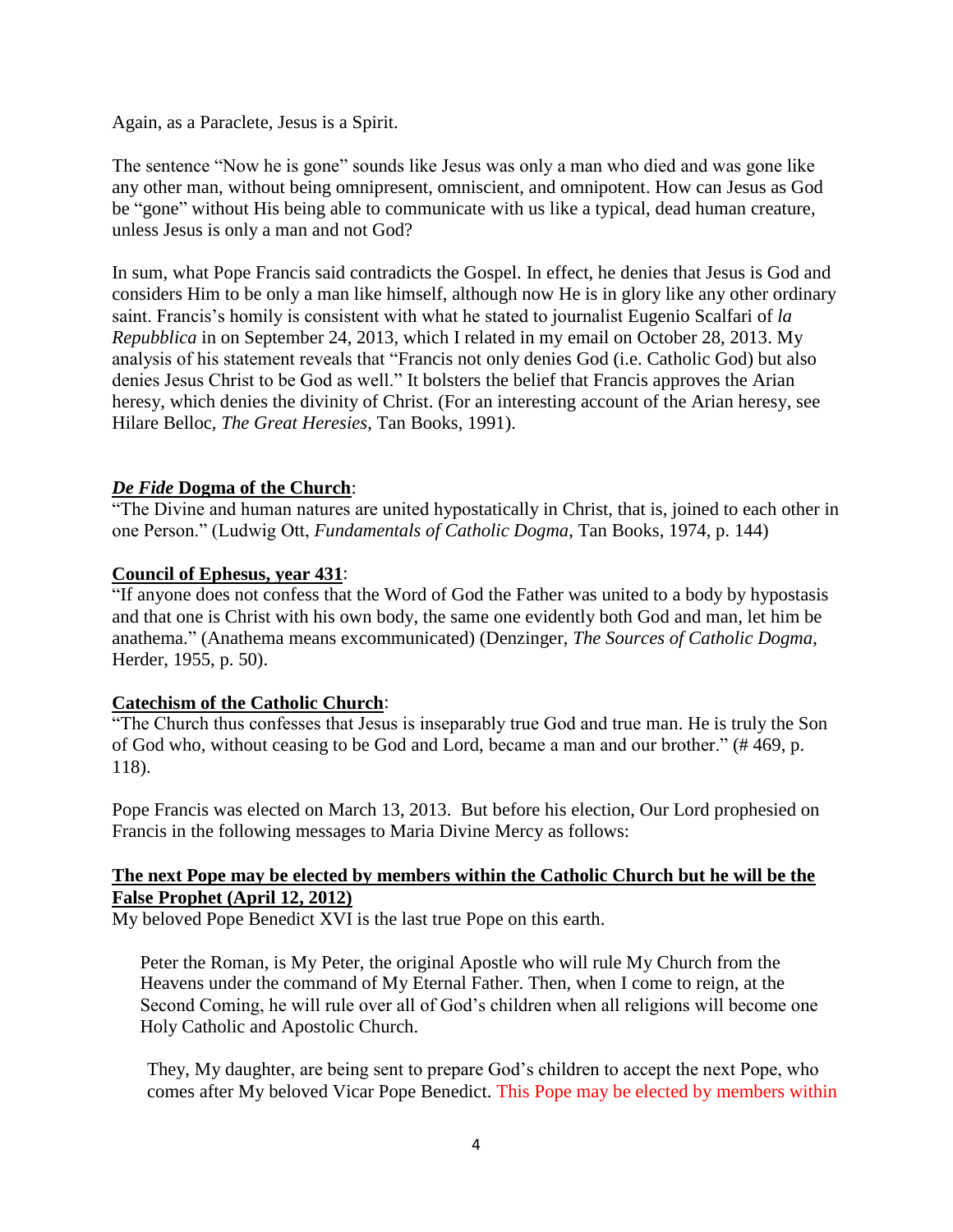Again, as a Paraclete, Jesus is a Spirit.

The sentence "Now he is gone" sounds like Jesus was only a man who died and was gone like any other man, without being omnipresent, omniscient, and omnipotent. How can Jesus as God be "gone" without His being able to communicate with us like a typical, dead human creature, unless Jesus is only a man and not God?

In sum, what Pope Francis said contradicts the Gospel. In effect, he denies that Jesus is God and considers Him to be only a man like himself, although now He is in glory like any other ordinary saint. Francis's homily is consistent with what he stated to journalist Eugenio Scalfari of *la Repubblica* in on September 24, 2013, which I related in my email on October 28, 2013. My analysis of his statement reveals that "Francis not only denies God (i.e. Catholic God) but also denies Jesus Christ to be God as well." It bolsters the belief that Francis approves the Arian heresy, which denies the divinity of Christ. (For an interesting account of the Arian heresy, see Hilare Belloc, *The Great Heresies*, Tan Books, 1991).

## *De Fide* **Dogma of the Church**:

"The Divine and human natures are united hypostatically in Christ, that is, joined to each other in one Person." (Ludwig Ott, *Fundamentals of Catholic Dogma*, Tan Books, 1974, p. 144)

#### **Council of Ephesus, year 431**:

"If anyone does not confess that the Word of God the Father was united to a body by hypostasis and that one is Christ with his own body, the same one evidently both God and man, let him be anathema." (Anathema means excommunicated) (Denzinger, *The Sources of Catholic Dogma*, Herder, 1955, p. 50).

#### **Catechism of the Catholic Church**:

"The Church thus confesses that Jesus is inseparably true God and true man. He is truly the Son of God who, without ceasing to be God and Lord, became a man and our brother." (# 469, p. 118).

Pope Francis was elected on March 13, 2013. But before his election, Our Lord prophesied on Francis in the following messages to Maria Divine Mercy as follows:

## **[The next Pope may be elected by members within the Catholic Church but he will be the](http://www.thewarningsecondcoming.com/the-next-pope-may-be-elected-by-members-within-the-catholic-church-but-he-will-be-the-false-prophet/)  [False Prophet](http://www.thewarningsecondcoming.com/the-next-pope-may-be-elected-by-members-within-the-catholic-church-but-he-will-be-the-false-prophet/) (April 12, 2012)**

My beloved Pope Benedict XVI is the last true Pope on this earth.

Peter the Roman, is My Peter, the original Apostle who will rule My Church from the Heavens under the command of My Eternal Father. Then, when I come to reign, at the Second Coming, he will rule over all of God's children when all religions will become one Holy Catholic and Apostolic Church.

They, My daughter, are being sent to prepare God's children to accept the next Pope, who comes after My beloved Vicar Pope Benedict. This Pope may be elected by members within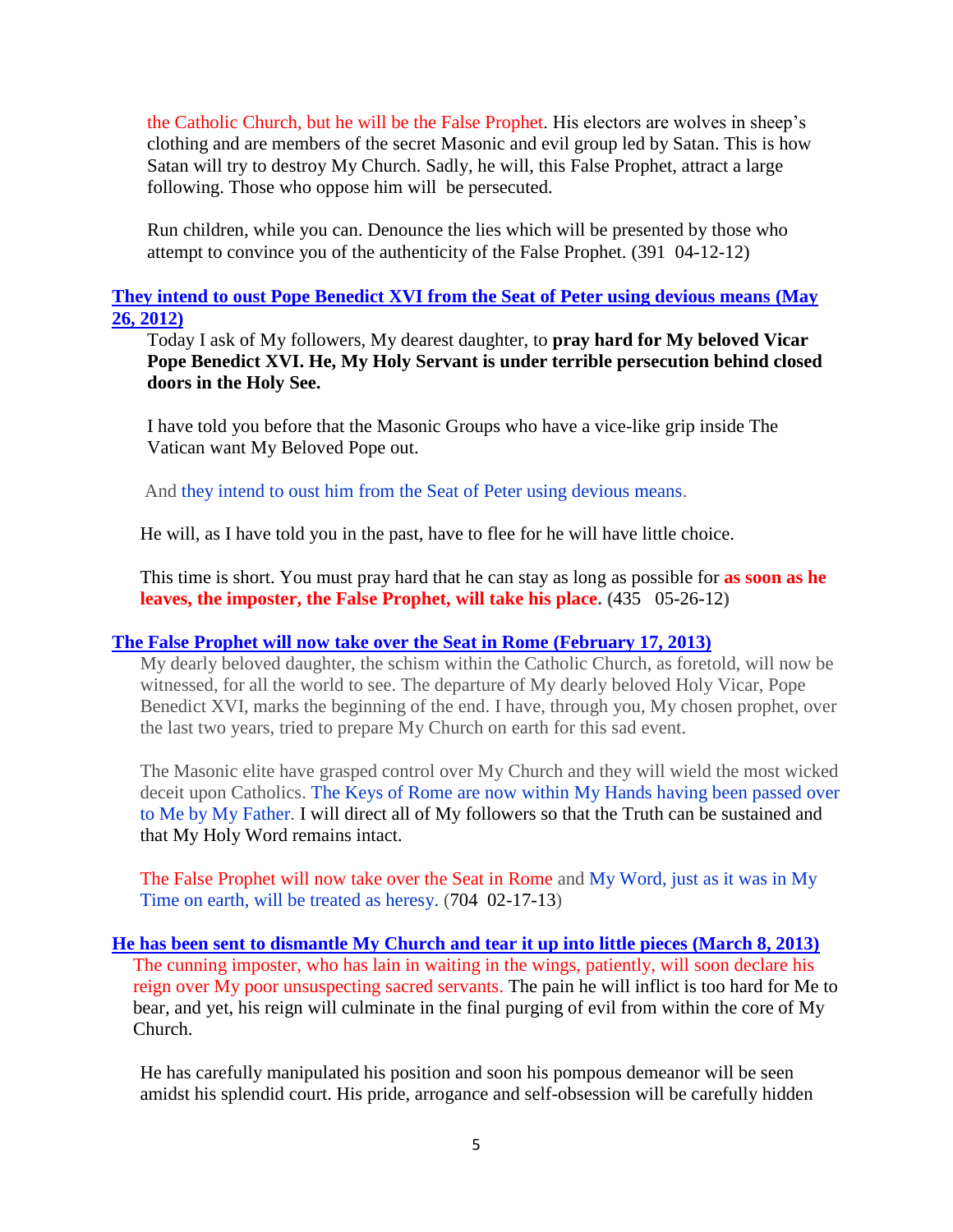the Catholic Church, but he will be the False Prophet. His electors are wolves in sheep's clothing and are members of the secret Masonic and evil group led by Satan. This is how Satan will try to destroy My Church. Sadly, he will, this False Prophet, attract a large following. Those who oppose him will be persecuted.

Run children, while you can. Denounce the lies which will be presented by those who attempt to convince you of the authenticity of the False Prophet. (391 04-12-12)

#### **[They intend to oust Pope Benedict XVI from the Seat of Peter using devious means](http://www.thewarningsecondcoming.com/they-intend-to-oust-pope-benedict-xiv-from-the-seat-of-peter-using-devious-means/) (May 26, 2012)**

Today I ask of My followers, My dearest daughter, to **pray hard for My beloved Vicar Pope Benedict XVI. He, My Holy Servant is under terrible persecution behind closed doors in the Holy See.**

I have told you before that the Masonic Groups who have a vice-like grip inside The Vatican want My Beloved Pope out.

And they intend to oust him from the Seat of Peter using devious means.

He will, as I have told you in the past, have to flee for he will have little choice.

This time is short. You must pray hard that he can stay as long as possible for **as soon as he leaves, the imposter, the False Prophet, will take his place. (**435 05-26-12**)**

#### **[The False Prophet will now take over the Seat in Rome](http://www.thewarningsecondcoming.com/the-false-prophet-will-now-take-over-the-seat-in-rome/) (February 17, 2013)**

My dearly beloved daughter, the schism within the Catholic Church, as foretold, will now be witnessed, for all the world to see. The departure of My dearly beloved Holy Vicar, Pope Benedict XVI, marks the beginning of the end. I have, through you, My chosen prophet, over the last two years, tried to prepare My Church on earth for this sad event.

The Masonic elite have grasped control over My Church and they will wield the most wicked deceit upon Catholics. The Keys of Rome are now within My Hands having been passed over to Me by My Father. I will direct all of My followers so that the Truth can be sustained and that My Holy Word remains intact.

The False Prophet will now take over the Seat in Rome and My Word, just as it was in My Time on earth, will be treated as heresy. (704 02-17-13)

#### **He has been sent to dismantle My [Church and tear it up into little pieces](http://www.thewarningsecondcoming.com/he-has-been-sent-to-dismantle-my-church-and-tear-it-up-into-little-pieces/) (March 8, 2013)** The cunning imposter, who has lain in waiting in the wings, patiently, will soon declare his reign over My poor unsuspecting sacred servants. The pain he will inflict is too hard for Me to bear, and yet, his reign will culminate in the final purging of evil from within the core of My Church.

He has carefully manipulated his position and soon his pompous demeanor will be seen amidst his splendid court. His pride, arrogance and self-obsession will be carefully hidden